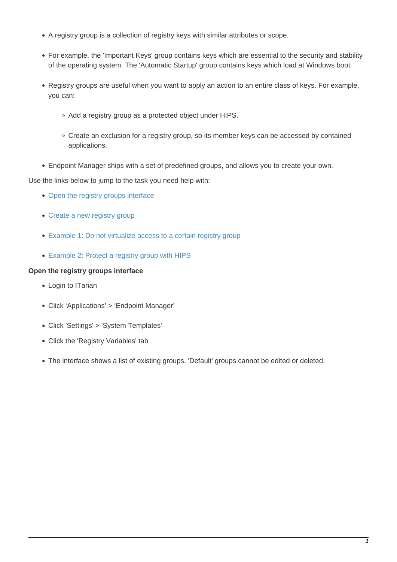- A registry group is a collection of registry keys with similar attributes or scope.
- For example, the 'Important Keys' group contains keys which are essential to the security and stability of the operating system. The 'Automatic Startup' group contains keys which load at Windows boot.
- Registry groups are useful when you want to apply an action to an entire class of keys. For example, you can:
	- Add a registry group as a protected object under HIPS.
	- Create an exclusion for a registry group, so its member keys can be accessed by contained applications.
- Endpoint Manager ships with a set of predefined groups, and allows you to create your own.

Use the links below to jump to the task you need help with:

- [Open the registry groups interface](#page-0-0)
- [Create a new registry group](#page-1-0)
- [Example 1: Do not virtualize access to a certain registry group](#page-3-0)
- [Example 2: Protect a registry group with HIPS](#page-5-0)

## <span id="page-0-0"></span>**Open the registry groups interface**

- Login to ITarian
- Click 'Applications' > 'Endpoint Manager'
- Click 'Settings' > 'System Templates'
- Click the 'Registry Variables' tab
- The interface shows a list of existing groups. 'Default' groups cannot be edited or deleted.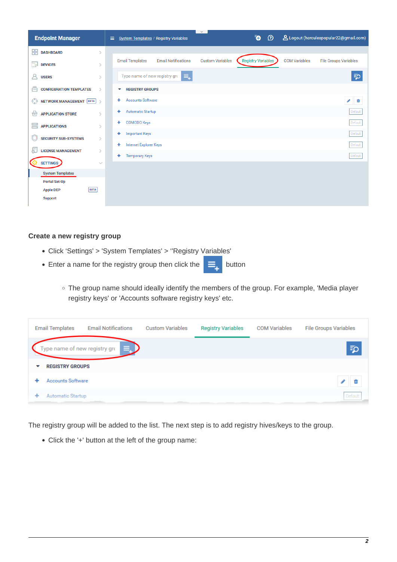

## <span id="page-1-0"></span>**Create a new registry group**

- Click 'Settings' > 'System Templates' > ''Registry Variables'
- **Enter a name for the registry group then click the**  $\equiv$  button

The group name should ideally identify the members of the group. For example, 'Media player registry keys' or 'Accounts software registry keys' etc.

| <b>Email Templates</b>   | <b>Email Notifications</b>            | <b>Custom Variables</b> | <b>Registry Variables</b> | <b>COM Variables</b> | <b>File Groups Variables</b> |
|--------------------------|---------------------------------------|-------------------------|---------------------------|----------------------|------------------------------|
|                          | ≡. D<br>Type name of new registry gro |                         |                           |                      | Φ                            |
| <b>REGISTRY GROUPS</b>   |                                       |                         |                           |                      |                              |
| <b>Accounts Software</b> |                                       |                         |                           |                      |                              |
| Automatic Startup        |                                       |                         |                           |                      | Default                      |

The registry group will be added to the list. The next step is to add registry hives/keys to the group.

Click the '+' button at the left of the group name: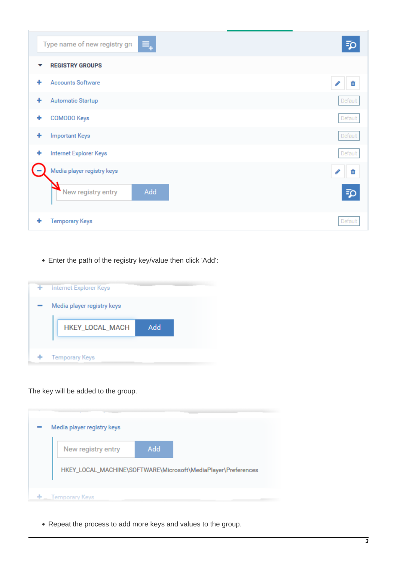|   | Type name of new registry gro<br>₹ | ΞC      |
|---|------------------------------------|---------|
| v | <b>REGISTRY GROUPS</b>             |         |
| ٠ | <b>Accounts Software</b>           |         |
| ٠ | <b>Automatic Startup</b>           | Default |
| + | <b>COMODO Keys</b>                 | Default |
| ٠ | <b>Important Keys</b>              | Default |
| ٠ | <b>Internet Explorer Keys</b>      | Default |
|   | Media player registry keys         | ℐ<br>Ŵ  |
|   | Add<br>New registry entry          | ΞC      |
| ٠ | <b>Temporary Keys</b>              | Default |

Enter the path of the registry key/value then click 'Add':



The key will be added to the group.

| New registry entry | Add |                                                               |
|--------------------|-----|---------------------------------------------------------------|
|                    |     |                                                               |
|                    |     | HKEY_LOCAL_MACHINE\SOFTWARE\Microsoft\MediaPlayer\Preferences |

Repeat the process to add more keys and values to the group.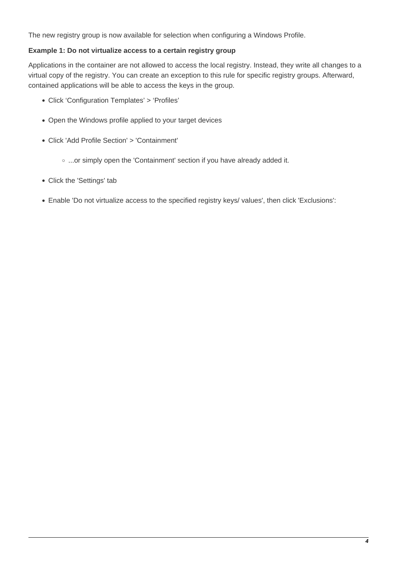The new registry group is now available for selection when configuring a Windows Profile.

## <span id="page-3-0"></span>**Example 1: Do not virtualize access to a certain registry group**

Applications in the container are not allowed to access the local registry. Instead, they write all changes to a virtual copy of the registry. You can create an exception to this rule for specific registry groups. Afterward, contained applications will be able to access the keys in the group.

- Click 'Configuration Templates' > 'Profiles'
- Open the Windows profile applied to your target devices
- Click 'Add Profile Section' > 'Containment'
	- o ...or simply open the 'Containment' section if you have already added it.
- Click the 'Settings' tab
- Enable 'Do not virtualize access to the specified registry keys/ values', then click 'Exclusions':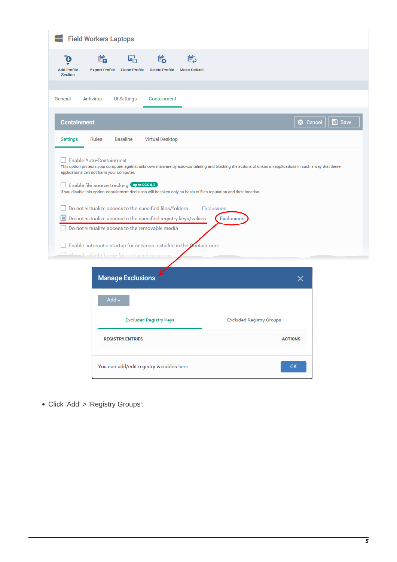|                          | Field Workers Laptops      |                                               |                                                                                                                                                                                         |                   |                                 |                 |               |
|--------------------------|----------------------------|-----------------------------------------------|-----------------------------------------------------------------------------------------------------------------------------------------------------------------------------------------|-------------------|---------------------------------|-----------------|---------------|
| (+<br><b>Add Profile</b> | 矘<br><b>Export Profile</b> | 鷆<br><b>Clone Profile</b>                     | 喘<br>嘗<br><b>Delete Profile</b><br><b>Make Default</b>                                                                                                                                  |                   |                                 |                 |               |
| <b>Section</b>           |                            |                                               |                                                                                                                                                                                         |                   |                                 |                 |               |
| General                  | <b>Antivirus</b>           | <b>UI Settings</b>                            | Containment                                                                                                                                                                             |                   |                                 |                 |               |
| <b>Containment</b>       |                            |                                               |                                                                                                                                                                                         |                   |                                 | <b>3</b> Cancel | <b>■</b> Save |
| Settings                 | <b>Rules</b>               | <b>Baseline</b>                               | <b>Virtual Desktop</b>                                                                                                                                                                  |                   |                                 |                 |               |
| E                        |                            | Det aw bigblight frame for contained programs | Do not virtualize access to the specified registry keys/values<br>Do not virtualize access to the removable media<br>Enable automatic startup for services installed in the Containment | <b>Exclusions</b> |                                 |                 |               |
|                          |                            | <b>Manage Exclusions</b>                      |                                                                                                                                                                                         |                   |                                 | ×               |               |
|                          |                            | Add-                                          |                                                                                                                                                                                         |                   |                                 |                 |               |
|                          |                            |                                               | <b>Excluded Registry Keys</b>                                                                                                                                                           |                   | <b>Excluded Registry Groups</b> |                 |               |
|                          |                            | <b>REGISTRY ENTRIES</b>                       |                                                                                                                                                                                         |                   | <b>ACTIONS</b>                  |                 |               |
|                          |                            |                                               | You can add/edit registry variables here                                                                                                                                                |                   |                                 | OK              |               |

Click 'Add' > 'Registry Groups':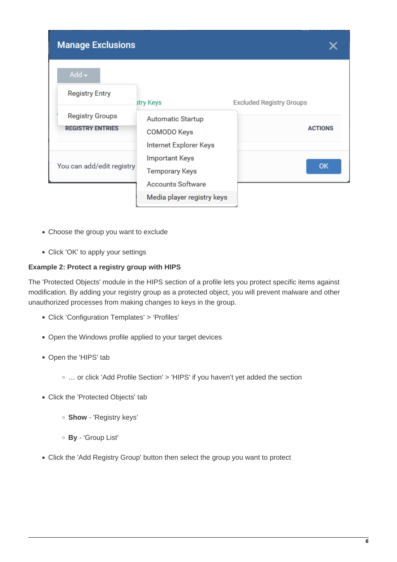| <b>Manage Exclusions</b>                          |                                                                            |                                 |
|---------------------------------------------------|----------------------------------------------------------------------------|---------------------------------|
| $Add -$<br><b>Registry Entry</b>                  | stry Keys                                                                  | <b>Excluded Registry Groups</b> |
| <b>Registry Groups</b><br><b>REGISTRY ENTRIES</b> | <b>Automatic Startup</b><br><b>COMODO Keys</b><br>Internet Explorer Keys   | <b>ACTIONS</b>                  |
| You can add/edit registry                         | <b>Important Keys</b><br><b>Temporary Keys</b><br><b>Accounts Software</b> | <b>OK</b>                       |
|                                                   | Media player registry keys                                                 |                                 |

- Choose the group you want to exclude
- Click 'OK' to apply your settings

## <span id="page-5-0"></span>**Example 2: Protect a registry group with HIPS**

The 'Protected Objects' module in the HIPS section of a profile lets you protect specific items against modification. By adding your registry group as a protected object, you will prevent malware and other unauthorized processes from making changes to keys in the group.

- Click 'Configuration Templates' > 'Profiles'
- Open the Windows profile applied to your target devices
- Open the 'HIPS' tab
	- … or click 'Add Profile Section' > 'HIPS' if you haven't yet added the section
- Click the 'Protected Objects' tab
	- **Show** 'Registry keys'
	- **By** 'Group List'
- Click the 'Add Registry Group' button then select the group you want to protect